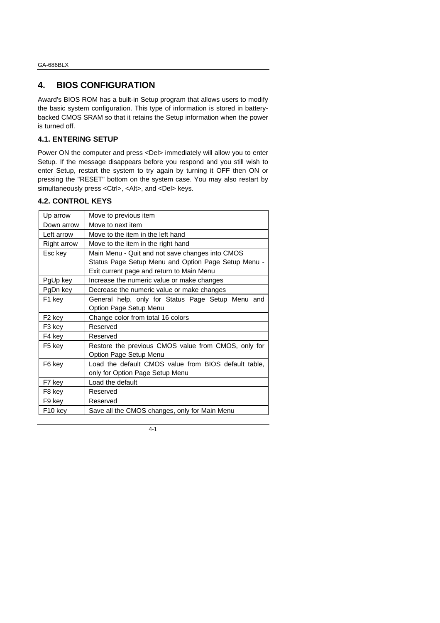# **4. BIOS CONFIGURATION**

Award's BIOS ROM has a built-in Setup program that allows users to modify the basic system configuration. This type of information is stored in batterybacked CMOS SRAM so that it retains the Setup information when the power is turned off.

#### **4.1. ENTERING SETUP**

Power ON the computer and press <Del> immediately will allow you to enter Setup. If the message disappears before you respond and you still wish to enter Setup, restart the system to try again by turning it OFF then ON or pressing the "RESET" bottom on the system case. You may also restart by simultaneously press <Ctrl>, <Alt>, and <Del> keys.

#### **4.2. CONTROL KEYS**

| Up arrow            | Move to previous item                                |
|---------------------|------------------------------------------------------|
| Down arrow          | Move to next item                                    |
| Left arrow          | Move to the item in the left hand                    |
| Right arrow         | Move to the item in the right hand                   |
| Esc key             | Main Menu - Quit and not save changes into CMOS      |
|                     | Status Page Setup Menu and Option Page Setup Menu -  |
|                     | Exit current page and return to Main Menu            |
| PgUp key            | Increase the numeric value or make changes           |
| PgDn key            | Decrease the numeric value or make changes           |
| F1 key              | General help, only for Status Page Setup Menu and    |
|                     | Option Page Setup Menu                               |
| F <sub>2</sub> key  | Change color from total 16 colors                    |
| F3 key              | Reserved                                             |
| F4 key              | Reserved                                             |
| F5 key              | Restore the previous CMOS value from CMOS, only for  |
|                     | Option Page Setup Menu                               |
| F6 key              | Load the default CMOS value from BIOS default table, |
|                     | only for Option Page Setup Menu                      |
| F7 key              | Load the default                                     |
| F8 key              | Reserved                                             |
| F9 key              | Reserved                                             |
| F <sub>10</sub> key | Save all the CMOS changes, only for Main Menu        |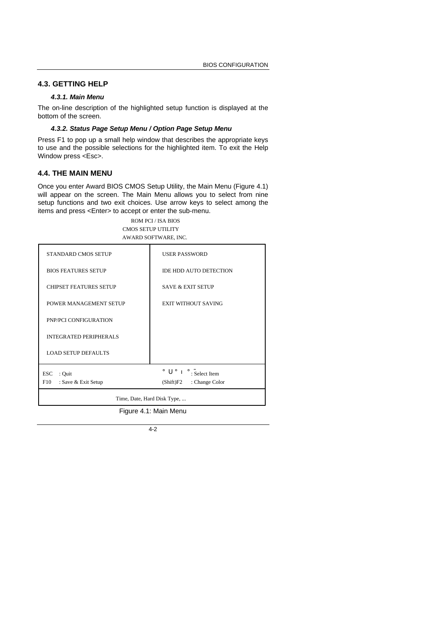## **4.3. GETTING HELP**

#### *4.3.1. Main Menu*

The on-line description of the highlighted setup function is displayed at the bottom of the screen.

#### *4.3.2. Status Page Setup Menu / Option Page Setup Menu*

Press F1 to pop up a small help window that describes the appropriate keys to use and the possible selections for the highlighted item. To exit the Help Window press <Esc>.

## **4.4. THE MAIN MENU**

Once you enter Award BIOS CMOS Setup Utility, the Main Menu (Figure 4.1) will appear on the screen. The Main Menu allows you to select from nine setup functions and two exit choices. Use arrow keys to select among the items and press <Enter> to accept or enter the sub-menu.

#### ROM PCI / ISA BIOS CMOS SETUP UTILITY AWARD SOFTWARE, INC.

| STANDARD CMOS SETUP           | <b>USER PASSWORD</b>                                              |  |  |
|-------------------------------|-------------------------------------------------------------------|--|--|
| <b>BIOS FEATURES SETUP</b>    | <b>IDE HDD AUTO DETECTION</b>                                     |  |  |
| <b>CHIPSET FEATURES SETUP</b> | <b>SAVE &amp; EXIT SETUP</b>                                      |  |  |
| POWER MANAGEMENT SETUP        | <b>EXIT WITHOUT SAVING</b>                                        |  |  |
| PNP/PCI CONFIGURATION         |                                                                   |  |  |
| <b>INTEGRATED PERIPHERALS</b> |                                                                   |  |  |
| <b>LOAD SETUP DEFAULTS</b>    |                                                                   |  |  |
| : Quit<br>ESC                 | $i$ $\hat{O}$ $i$ $\hat{O}$ $i$ $\therefore$ $\hat{S}$ elect Item |  |  |
| F10<br>: Save & Exit Setup    | $(Shift)F2$ : Change Color                                        |  |  |
|                               | Time, Date, Hard Disk Type,                                       |  |  |
| Figure 4.1: Main Menu         |                                                                   |  |  |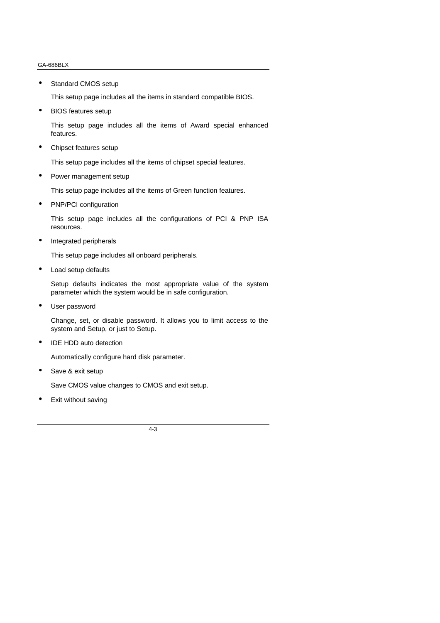• Standard CMOS setup

This setup page includes all the items in standard compatible BIOS.

• BIOS features setup

This setup page includes all the items of Award special enhanced features.

• Chipset features setup

This setup page includes all the items of chipset special features.

• Power management setup

This setup page includes all the items of Green function features.

• PNP/PCI configuration

This setup page includes all the configurations of PCI & PNP ISA resources.

• Integrated peripherals

This setup page includes all onboard peripherals.

• Load setup defaults

Setup defaults indicates the most appropriate value of the system parameter which the system would be in safe configuration.

User password

Change, set, or disable password. It allows you to limit access to the system and Setup, or just to Setup.

IDE HDD auto detection

Automatically configure hard disk parameter.

• Save & exit setup

Save CMOS value changes to CMOS and exit setup.

Exit without saving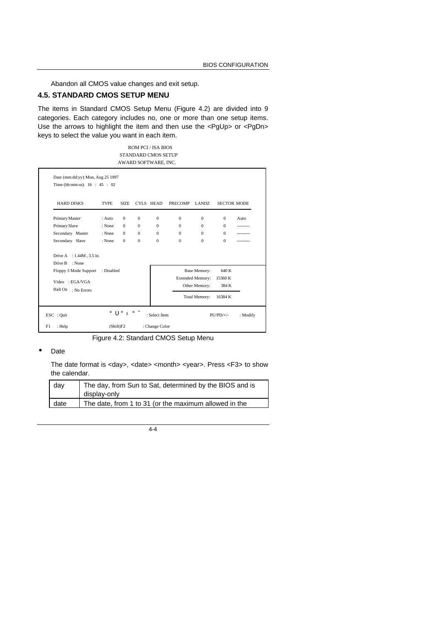Abandon all CMOS value changes and exit setup.

# **4.5. STANDARD CMOS SETUP MENU**

The items in Standard CMOS Setup Menu (Figure 4.2) are divided into 9 categories. Each category includes no, one or more than one setup items. Use the arrows to highlight the item and then use the <PgUp> or <PgDn> keys to select the value you want in each item.

> ROM PCI / ISA BIOS STANDARD CMOS SETUP AWARD SOFTWARE, INC.

| <b>HARD DISKS</b>                             | <b>TYPE</b> | SIZE.        |              | CYLS HEAD | <b>PRECOMP</b> | LANDZ.                  | <b>SECTOR MODE</b> |      |
|-----------------------------------------------|-------------|--------------|--------------|-----------|----------------|-------------------------|--------------------|------|
| Primary Master                                | : Auto      | $\mathbf{0}$ | $\mathbf{0}$ | $\Omega$  | $\mathbf{0}$   | $\Omega$                | $\Omega$           | Auto |
| Primary Slave                                 | : None      | $\mathbf{0}$ | $\Omega$     | $\Omega$  | $\Omega$       | $\Omega$                | $\Omega$           |      |
| Secondary Master                              | : None      | $\Omega$     | $\Omega$     | $\Omega$  | $\Omega$       | $\Omega$                | $\Omega$           |      |
| Secondary Slave                               | : None      | $\mathbf{0}$ | $\Omega$     | $\Omega$  | $\Omega$       | $\Omega$                | $\Omega$           |      |
| Drive A : 1.44M, 3.5 in.<br>Drive B<br>: None |             |              |              |           |                |                         |                    |      |
| Floppy 3 Mode Support                         | : Disabled  |              |              |           |                | <b>Base Memory:</b>     | 640 K              |      |
| Video : EGA/VGA                               |             |              |              |           |                | <b>Extended Memory:</b> | 15360 K            |      |
| Halt On                                       |             |              |              |           |                | Other Memory:           | 384 K              |      |
| : No Errors                                   |             |              |              |           |                | <b>Total Memory:</b>    | 16384 K            |      |

Figure 4.2: Standard CMOS Setup Menu

#### • Date

The date format is <day>, <date> <month> <year>. Press <F3> to show the calendar.

| day  | The day, from Sun to Sat, determined by the BIOS and is |
|------|---------------------------------------------------------|
|      | display-only                                            |
| date | The date, from 1 to 31 (or the maximum allowed in the   |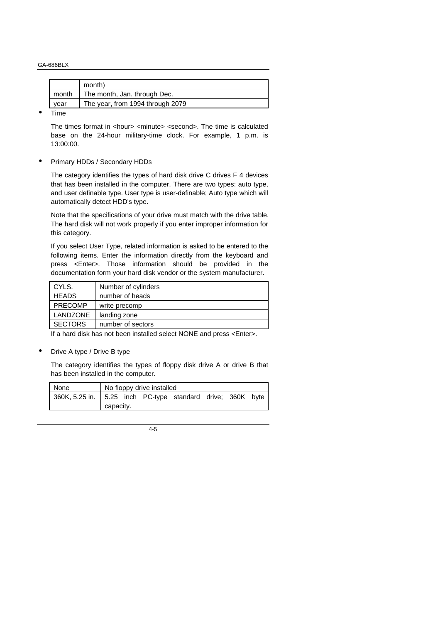|       | month)                           |
|-------|----------------------------------|
| month | The month, Jan. through Dec.     |
| vear  | The year, from 1994 through 2079 |

• Time

The times format in <hour> <minute> <second>. The time is calculated base on the 24-hour military-time clock. For example, 1 p.m. is 13:00:00.

• Primary HDDs / Secondary HDDs

The category identifies the types of hard disk drive C drives F 4 devices that has been installed in the computer. There are two types: auto type, and user definable type. User type is user-definable; Auto type which will automatically detect HDD's type.

Note that the specifications of your drive must match with the drive table. The hard disk will not work properly if you enter improper information for this category.

If you select User Type, related information is asked to be entered to the following items. Enter the information directly from the keyboard and press <Enter>. Those information should be provided in the documentation form your hard disk vendor or the system manufacturer.

| CYLS.          | Number of cylinders |
|----------------|---------------------|
| <b>HEADS</b>   | number of heads     |
| <b>PRECOMP</b> | write precomp       |
| LANDZONE       | landing zone        |
| <b>SECTORS</b> | number of sectors   |

If a hard disk has not been installed select NONE and press <Enter>.

• Drive A type / Drive B type

The category identifies the types of floppy disk drive A or drive B that has been installed in the computer.

| None | No floppy drive installed |                                                              |  |  |  |  |  |
|------|---------------------------|--------------------------------------------------------------|--|--|--|--|--|
|      |                           | 360K, 5.25 in.   5.25 inch PC-type standard drive; 360K byte |  |  |  |  |  |
|      | capacity.                 |                                                              |  |  |  |  |  |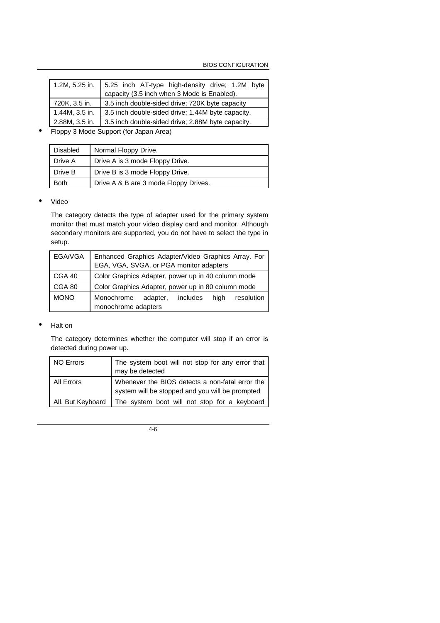| 1.2M, 5.25 in. | 5.25 inch AT-type high-density drive; 1.2M byte   |
|----------------|---------------------------------------------------|
|                | capacity (3.5 inch when 3 Mode is Enabled).       |
| 720K, 3.5 in.  | 3.5 inch double-sided drive; 720K byte capacity   |
| 1.44M, 3.5 in. | 3.5 inch double-sided drive; 1.44M byte capacity. |
| 2.88M, 3.5 in. | 3.5 inch double-sided drive; 2.88M byte capacity. |

• Floppy 3 Mode Support (for Japan Area)

| <b>Disabled</b> | Normal Floppy Drive.                  |
|-----------------|---------------------------------------|
| Drive A         | Drive A is 3 mode Floppy Drive.       |
| Drive B         | Drive B is 3 mode Floppy Drive.       |
| Both            | Drive A & B are 3 mode Floppy Drives. |

#### • Video

The category detects the type of adapter used for the primary system monitor that must match your video display card and monitor. Although secondary monitors are supported, you do not have to select the type in setup.

| EGA/VGA     | Enhanced Graphics Adapter/Video Graphics Array. For<br>EGA, VGA, SVGA, or PGA monitor adapters |  |
|-------------|------------------------------------------------------------------------------------------------|--|
| CGA 40      | Color Graphics Adapter, power up in 40 column mode                                             |  |
| CGA 80      | Color Graphics Adapter, power up in 80 column mode                                             |  |
| <b>MONO</b> | includes high<br>Monochrome<br>resolution<br>adapter,<br>monochrome adapters                   |  |

#### • Halt on

The category determines whether the computer will stop if an error is detected during power up.

| <b>NO Errors</b>  | The system boot will not stop for any error that<br>may be detected                                |
|-------------------|----------------------------------------------------------------------------------------------------|
| All Errors        | Whenever the BIOS detects a non-fatal error the<br>system will be stopped and you will be prompted |
| All, But Keyboard | The system boot will not stop for a keyboard                                                       |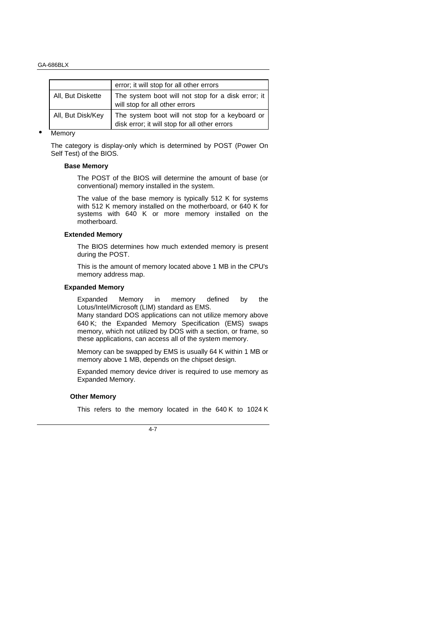|                   | error; it will stop for all other errors                                                         |
|-------------------|--------------------------------------------------------------------------------------------------|
| All, But Diskette | The system boot will not stop for a disk error; it<br>will stop for all other errors             |
| All, But Disk/Key | The system boot will not stop for a keyboard or<br>disk error; it will stop for all other errors |

#### **Memory**

The category is display-only which is determined by POST (Power On Self Test) of the BIOS.

#### **Base Memory**

The POST of the BIOS will determine the amount of base (or conventional) memory installed in the system.

The value of the base memory is typically 512 K for systems with 512 K memory installed on the motherboard, or 640 K for systems with 640 K or more memory installed on the motherboard.

#### **Extended Memory**

The BIOS determines how much extended memory is present during the POST.

This is the amount of memory located above 1 MB in the CPU's memory address map.

#### **Expanded Memory**

Expanded Memory in memory defined by the Lotus/Intel/Microsoft (LIM) standard as EMS.

Many standard DOS applications can not utilize memory above 640 K; the Expanded Memory Specification (EMS) swaps memory, which not utilized by DOS with a section, or frame, so these applications, can access all of the system memory.

Memory can be swapped by EMS is usually 64 K within 1 MB or memory above 1 MB, depends on the chipset design.

Expanded memory device driver is required to use memory as Expanded Memory.

#### **Other Memory**

This refers to the memory located in the 640 K to 1024 K

 $\overline{A}$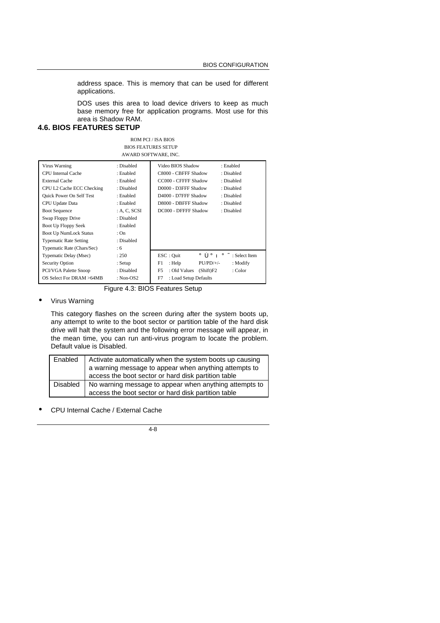address space. This is memory that can be used for different applications.

DOS uses this area to load device drivers to keep as much base memory free for application programs. Most use for this area is Shadow RAM.

## **4.6. BIOS FEATURES SETUP**

| ROM PCI / ISA BIOS         |
|----------------------------|
| <b>BIOS FEATURES SETUP</b> |
| AWARD SOFTWARE. INC.       |

| Virus Warning<br>CPU Internal Cache | : Disabled<br>: Enabled | Video BIOS Shadow<br>: Enabled<br>C8000 - CBFFF Shadow<br>: Disabled |
|-------------------------------------|-------------------------|----------------------------------------------------------------------|
|                                     |                         |                                                                      |
| <b>External Cache</b>               | : Enabled               | CC000 - CFFFF Shadow<br>: Disabled                                   |
| CPU L2 Cache ECC Checking           | : Disabled              | D0000 - D3FFF Shadow<br>: Disabled                                   |
| <b>Quick Power On Self Test</b>     | : Enabled               | D4000 - D7FFF Shadow<br>: Disabled                                   |
| CPU Update Data                     | : Enabled               | D8000 - DBFFF Shadow<br>: Disabled                                   |
| <b>Boot Sequence</b>                | : A. C. SCSI            | DC000 - DFFFF Shadow<br>: Disabled                                   |
| Swap Floppy Drive                   | : Disabled              |                                                                      |
| Boot Up Floppy Seek                 | : Enabled               |                                                                      |
| <b>Boot Up NumLock Status</b>       | : On                    |                                                                      |
| <b>Typematic Rate Setting</b>       | : Disabled              |                                                                      |
| Typematic Rate (Chars/Sec)          | :6                      |                                                                      |
| <b>Typematic Delay (Msec)</b>       | : 250                   | ESC : Quit<br>$\div$ : Select Item<br>Öi Õi                          |
| Security Option                     | : Setup                 | F1<br>: Help<br>$PU/PD/+/-$<br>: Modify                              |
| PCI/VGA Palette Snoop               | : Disabled              | F <sub>5</sub><br>: Old Values<br>(Shift)F2<br>: Color               |
| OS Select For DRAM >64MB            | : Non-OS2               | F7<br>: Load Setup Defaults                                          |
|                                     |                         |                                                                      |

Figure 4.3: BIOS Features Setup

• Virus Warning

This category flashes on the screen during after the system boots up, any attempt to write to the boot sector or partition table of the hard disk drive will halt the system and the following error message will appear, in the mean time, you can run anti-virus program to locate the problem. Default value is Disabled.

| Enabled         | Activate automatically when the system boots up causing |
|-----------------|---------------------------------------------------------|
|                 | a warning message to appear when anything attempts to   |
|                 | access the boot sector or hard disk partition table     |
| <b>Disabled</b> | No warning message to appear when anything attempts to  |
|                 | access the boot sector or hard disk partition table     |

• CPU Internal Cache / External Cache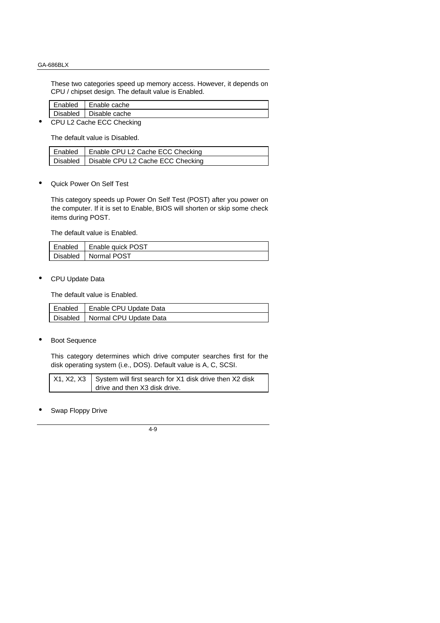These two categories speed up memory access. However, it depends on CPU / chipset design. The default value is Enabled.

| Enabled                | l Enable cache           |
|------------------------|--------------------------|
|                        | Disabled   Disable cache |
| OMILAC. L. FAO. CL. L. |                          |

• CPU L2 Cache ECC Checking

The default value is Disabled.

| Enabled   Enable CPU L2 Cache ECC Checking   |
|----------------------------------------------|
| Disabled   Disable CPU L2 Cache ECC Checking |

• Quick Power On Self Test

This category speeds up Power On Self Test (POST) after you power on the computer. If it is set to Enable, BIOS will shorten or skip some check items during POST.

The default value is Enabled.

| Enabled   Enable quick POST |
|-----------------------------|
| Disabled   Normal POST      |

• CPU Update Data

The default value is Enabled.

| Enabled | Enable CPU Update Data            |
|---------|-----------------------------------|
|         | Disabled   Normal CPU Update Data |

**Boot Sequence** 

This category determines which drive computer searches first for the disk operating system (i.e., DOS). Default value is A, C, SCSI.

| $X1, X2, X3$ System will first search for X1 disk drive then X2 disk |
|----------------------------------------------------------------------|
| drive and then X3 disk drive.                                        |

Swap Floppy Drive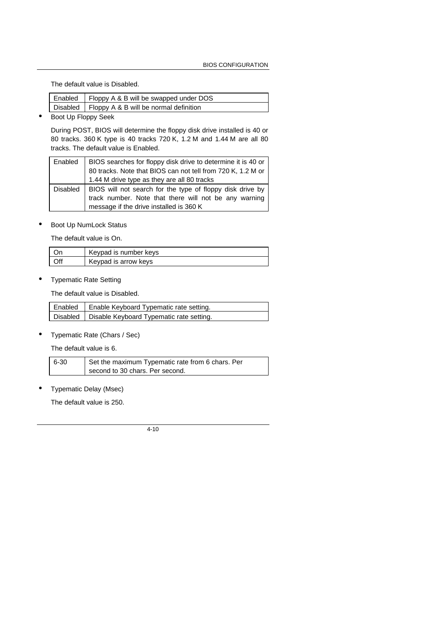The default value is Disabled.

| $\Box$ Enabled $\Box$ Floppy A & B will be swapped under DOS |
|--------------------------------------------------------------|
| Disabled   Floppy A & B will be normal definition            |

• Boot Up Floppy Seek

During POST, BIOS will determine the floppy disk drive installed is 40 or 80 tracks. 360 K type is 40 tracks 720 K, 1.2 M and 1.44 M are all 80 tracks. The default value is Enabled.

|          | Enabled   BIOS searches for floppy disk drive to determine it is 40 or |
|----------|------------------------------------------------------------------------|
|          | 80 tracks. Note that BIOS can not tell from 720 K, 1.2 M or            |
|          | 1.44 M drive type as they are all 80 tracks                            |
| Disabled | BIOS will not search for the type of floppy disk drive by              |
|          | track number. Note that there will not be any warning                  |
|          | message if the drive installed is 360 K                                |

• Boot Up NumLock Status

The default value is On.

|     | Keypad is number keys |
|-----|-----------------------|
| )ff | Keypad is arrow keys  |

• Typematic Rate Setting

The default value is Disabled.

| Disabled   Disable Keyboard Typematic rate setting. |  |
|-----------------------------------------------------|--|

• Typematic Rate (Chars / Sec)

The default value is 6.

| 6-30 | Set the maximum Typematic rate from 6 chars. Per |
|------|--------------------------------------------------|
|      | second to 30 chars. Per second.                  |

• Typematic Delay (Msec)

The default value is 250.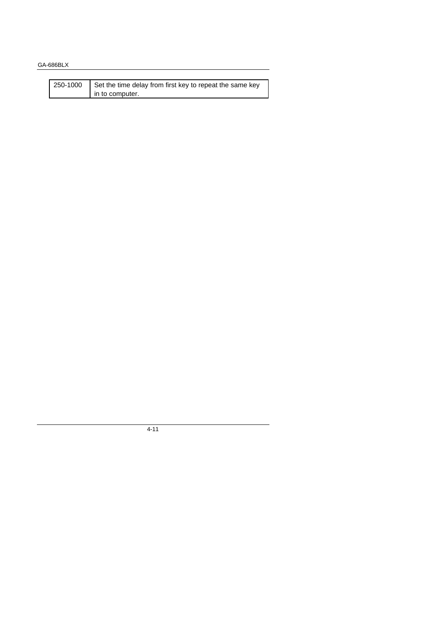| 250-1000 | Set the time delay from first key to repeat the same key |
|----------|----------------------------------------------------------|
|          | I in to computer.                                        |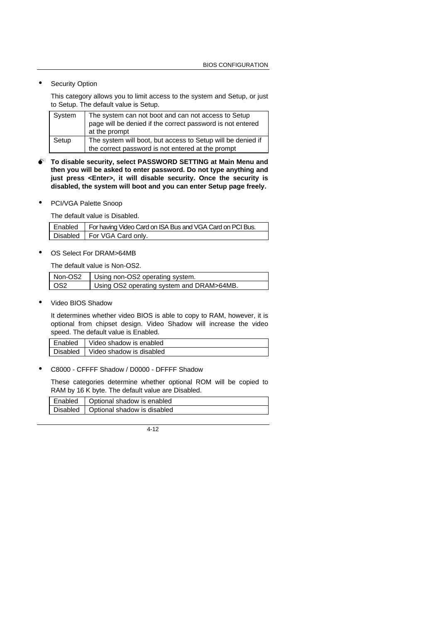**Security Option** 

This category allows you to limit access to the system and Setup, or just to Setup. The default value is Setup.

| System | The system can not boot and can not access to Setup<br>page will be denied if the correct password is not entered<br>at the prompt |
|--------|------------------------------------------------------------------------------------------------------------------------------------|
| Setup  | The system will boot, but access to Setup will be denied if<br>the correct password is not entered at the prompt                   |

- $\bullet^*$  To disable security, select PASSWORD SETTING at Main Menu and **then you will be asked to enter password. Do not type anything and just press <Enter>, it will disable security. Once the security is disabled, the system will boot and you can enter Setup page freely.**
- PCI/VGA Palette Snoop

The default value is Disabled.

| Enabled   For having Video Card on ISA Bus and VGA Card on PCI Bus. |  |
|---------------------------------------------------------------------|--|
| Disabled   For VGA Card only.                                       |  |

OS Select For DRAM>64MB

The default value is Non-OS2.

| Non-OS2 | Using non-OS2 operating system.           |
|---------|-------------------------------------------|
| l OS2   | Using OS2 operating system and DRAM>64MB. |

Video BIOS Shadow

It determines whether video BIOS is able to copy to RAM, however, it is optional from chipset design. Video Shadow will increase the video speed. The default value is Enabled.

| Enabled         | Video shadow is enabled  |
|-----------------|--------------------------|
| <b>Disabled</b> | Video shadow is disabled |

• C8000 - CFFFF Shadow / D0000 - DFFFF Shadow

These categories determine whether optional ROM will be copied to RAM by 16 K byte. The default value are Disabled.

| Enabled | Optional shadow is enabled             |
|---------|----------------------------------------|
|         | Disabled   Optional shadow is disabled |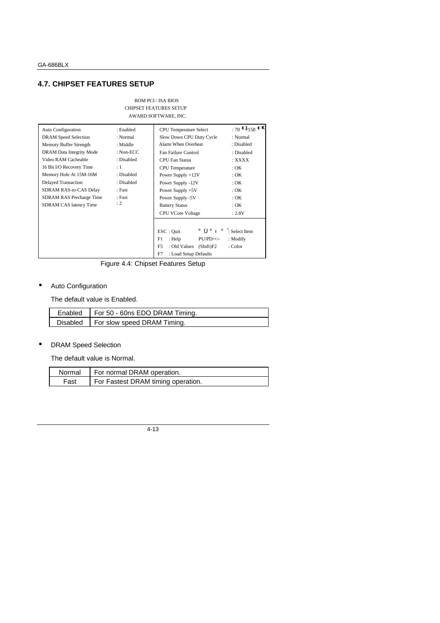## **4.7. CHIPSET FEATURES SETUP**

#### ROM PCI / ISA BIOS CHIPSET FEATURES SETUP AWARD SOFTWARE, INC.

| <b>Auto Configuration</b>  | : Enabled   | <b>CPU</b> Temperature Select   | : 70 $\text{C}$ /158 $\text{C}$ K |
|----------------------------|-------------|---------------------------------|-----------------------------------|
| DRAM Speed Selection       | : Normal    | Slow Down CPU Duty Cycle        | : Normal                          |
| Memory Buffer Strength     | : Middle    | Alarm When Overheat             | : Disabled                        |
| DRAM Data Integrity Mode   | : $Non-ECC$ | Fan Failure Control             | : Disabled                        |
| Video RAM Cacheable        | : Disabled  | <b>CPU Fan Status</b>           | : XXXX                            |
| 16 Bit I/O Recovery Time   | :1          | <b>CPU</b> Temperature          | $:$ OK                            |
| Memory Hole At 15M-16M     | : Disabled  | Power Supply $+12V$             | $:$ OK                            |
| <b>Delayed Transaction</b> | : Disabled  | Power Supply -12V               | $:$ OK                            |
| SDRAM RAS-to-CAS Delay     | : Fast      | Power Supply $+5V$              | $:$ OK                            |
| SDRAM RAS Precharge Time   | : Fast      | Power Supply -5V                | $:$ OK                            |
| SDRAM CAS latency Time     | : 2         | <b>Battery Status</b>           | $:$ OK                            |
|                            |             | <b>CPU VCore Voltage</b>        | : 2.8V                            |
|                            |             |                                 |                                   |
|                            |             | ESC: Quit<br>Öi Öi              | $\div$ Select Item                |
|                            |             | : Help<br>$PU/PD/+/-$<br>F1     | : Modify                          |
|                            |             | F5<br>: Old Values<br>(Shift)F2 | : Color                           |
|                            |             | F7<br>: Load Setup Defaults     |                                   |

Figure 4.4: Chipset Features Setup

# • Auto Configuration

The default value is Enabled.

| Enabled   For 50 - 60ns EDO DRAM Timing. |
|------------------------------------------|
| Disabled   For slow speed DRAM Timing.   |

## • DRAM Speed Selection

The default value is Normal.

|      | Normal   For normal DRAM operation. |
|------|-------------------------------------|
| Fast | For Fastest DRAM timing operation.  |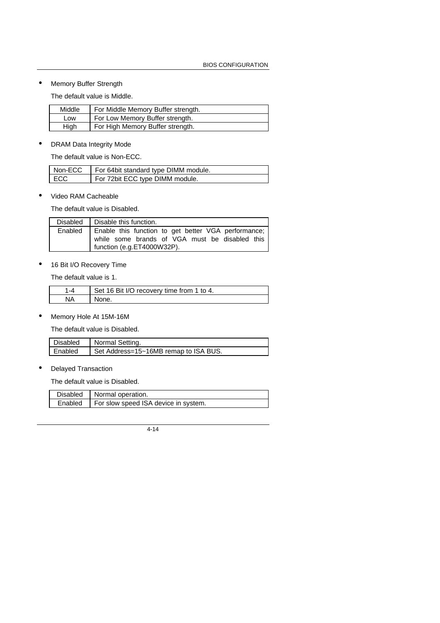# • Memory Buffer Strength

The default value is Middle.

| Middle | For Middle Memory Buffer strength. |
|--------|------------------------------------|
| LOW    | For Low Memory Buffer strength.    |
| Hiah   | For High Memory Buffer strength.   |

## • DRAM Data Integrity Mode

The default value is Non-ECC.

| Non-ECC    | For 64bit standard type DIMM module. |
|------------|--------------------------------------|
| <b>ECC</b> | For 72bit ECC type DIMM module.      |

• Video RAM Cacheable

The default value is Disabled.

| Disabled   Disable this function.                                                                                                             |
|-----------------------------------------------------------------------------------------------------------------------------------------------|
| Enabled   Enable this function to get better VGA performance;<br>while some brands of VGA must be disabled this<br>function (e.g.ET4000W32P). |

• 16 Bit I/O Recovery Time

The default value is 1.

| I Set 16 Bit I/O recovery time from 1 to 4. |
|---------------------------------------------|
| None.                                       |

• Memory Hole At 15M-16M

The default value is Disabled.

| Disabled | Normal Setting.                       |
|----------|---------------------------------------|
| Enabled  | Set Address=15~16MB remap to ISA BUS. |

• Delayed Transaction

The default value is Disabled.

| Disabled   Normal operation.                   |
|------------------------------------------------|
| Enabled   For slow speed ISA device in system. |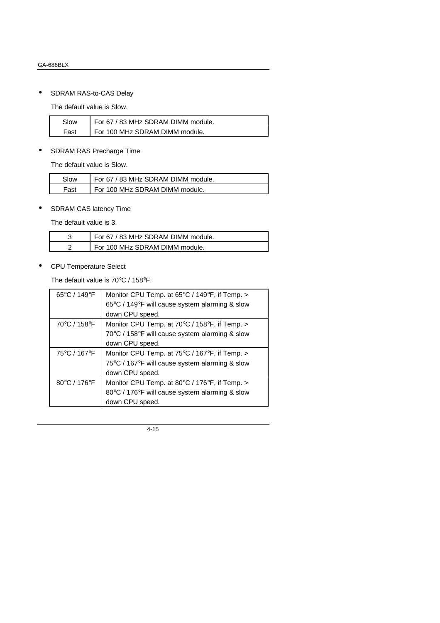• SDRAM RAS-to-CAS Delay

The default value is Slow.

| Slow | For 67 / 83 MHz SDRAM DIMM module. |
|------|------------------------------------|
| Fast | For 100 MHz SDRAM DIMM module.     |

# • SDRAM RAS Precharge Time

The default value is Slow.

| Slow | For 67 / 83 MHz SDRAM DIMM module. |
|------|------------------------------------|
| Fast | For 100 MHz SDRAM DIMM module.     |

• SDRAM CAS latency Time

The default value is 3.

| For 67 / 83 MHz SDRAM DIMM module. |
|------------------------------------|
| For 100 MHz SDRAM DIMM module.     |

• CPU Temperature Select

The default value is 70°C / 158°F.

| $65^{\circ}$ C / 149 $^{\circ}$ F | Monitor CPU Temp. at 65 $\degree$ C / 149 $\degree$ F, if Temp. > |
|-----------------------------------|-------------------------------------------------------------------|
|                                   | 65°C / 149°F will cause system alarming & slow                    |
|                                   | down CPU speed.                                                   |
| 70°C / 158°F                      | Monitor CPU Temp. at 70°C / 158°F, if Temp. >                     |
|                                   | 70°C / 158°F will cause system alarming & slow                    |
|                                   | down CPU speed.                                                   |
| 75°C / 167°F                      | Monitor CPU Temp. at 75°C / 167°F, if Temp. >                     |
|                                   | 75°C / 167°F will cause system alarming & slow                    |
|                                   | down CPU speed.                                                   |
| 80°C / 176°F                      | Monitor CPU Temp. at 80°C / 176°F, if Temp. >                     |
|                                   | 80°C / 176°F will cause system alarming & slow                    |
|                                   | down CPU speed.                                                   |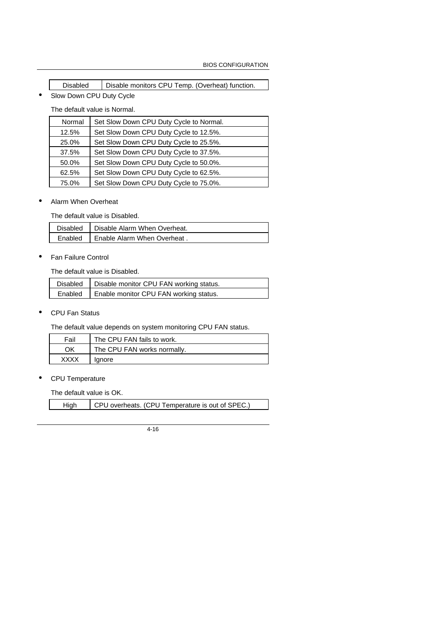| <b>Disabled</b> | <sup>1</sup> Disable monitors CPU Temp. (Overheat) function. |
|-----------------|--------------------------------------------------------------|
|                 |                                                              |

• Slow Down CPU Duty Cycle

The default value is Normal.

| Normal | Set Slow Down CPU Duty Cycle to Normal. |
|--------|-----------------------------------------|
| 12.5%  | Set Slow Down CPU Duty Cycle to 12.5%.  |
| 25.0%  | Set Slow Down CPU Duty Cycle to 25.5%.  |
| 37.5%  | Set Slow Down CPU Duty Cycle to 37.5%.  |
| 50.0%  | Set Slow Down CPU Duty Cycle to 50.0%.  |
| 62.5%  | Set Slow Down CPU Duty Cycle to 62.5%.  |
| 75.0%  | Set Slow Down CPU Duty Cycle to 75.0%.  |

• Alarm When Overheat

The default value is Disabled.

| Disabled   Disable Alarm When Overheat. |
|-----------------------------------------|
| Enabled   Enable Alarm When Overheat.   |

• Fan Failure Control

The default value is Disabled.

| Disabled   Disable monitor CPU FAN working status. |
|----------------------------------------------------|
| Enabled   Enable monitor CPU FAN working status.   |

• CPU Fan Status

The default value depends on system monitoring CPU FAN status.

| Fail | The CPU FAN fails to work.  |
|------|-----------------------------|
| ΟK   | The CPU FAN works normally. |
| xxxx | lanore                      |

• CPU Temperature

The default value is OK.

| CPU overheats. (CPU Temperature is out of SPEC.)<br>High |
|----------------------------------------------------------|
|----------------------------------------------------------|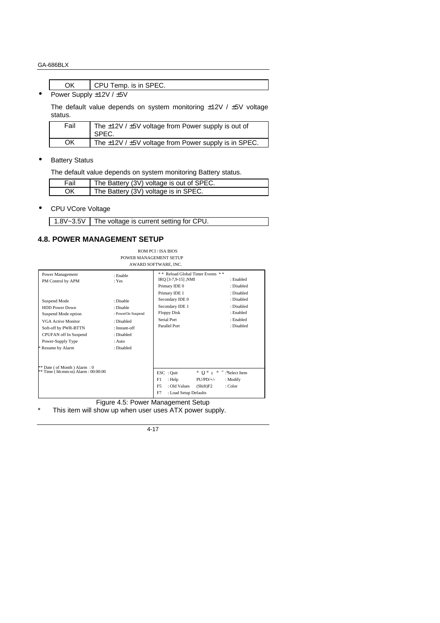|                                                  | CPU Temp. is in SPEC. |
|--------------------------------------------------|-----------------------|
| $D_{\text{output}}$ $C_{\text{unhyb}}$ $(401/T)$ |                       |

Power Supply  $\pm$ 12V /  $\pm$ 5V

The default value depends on system monitoring ±12V / ±5V voltage status.

| Fail | The $\pm$ 12V / $\pm$ 5V voltage from Power supply is out of<br>SPEC. |
|------|-----------------------------------------------------------------------|
| ΟK   | The $\pm$ 12V / $\pm$ 5V voltage from Power supply is in SPEC.        |

## • Battery Status

The default value depends on system monitoring Battery status.

| Fail | The Battery (3V) voltage is out of SPEC. |
|------|------------------------------------------|
| OK   | The Battery (3V) voltage is in SPEC.     |

• CPU VCore Voltage

1.8V~3.5V The voltage is current setting for CPU.

## **4.8. POWER MANAGEMENT SETUP**

ROM PCI / ISA BIOS POWER MANAGEMENT SETUP

| $*$ Time (hh:mm:ss) Alarm : 00:00:00                                                                                                                                                                        |                                                                                                                    | $\text{ESC}$ : Quit<br>i Ôi Õi<br>F1<br>$PU/PD/+/-$<br>$:$ Help<br>F <sub>5</sub><br>: Old Values<br>(Shift)F2<br>F7<br>: Load Setup Defaults | $\div$ : Select Item<br>: Modify<br>: Color                                    |
|-------------------------------------------------------------------------------------------------------------------------------------------------------------------------------------------------------------|--------------------------------------------------------------------------------------------------------------------|-----------------------------------------------------------------------------------------------------------------------------------------------|--------------------------------------------------------------------------------|
| Suspend Mode<br><b>HDD Power Down</b><br>Suspend Mode option<br>VGA Active Monitor<br>Soft-off by PWR-BTTN<br>CPUFAN off In Suspend<br>Power-Supply Type<br>Resume by Alarm<br>** Date (of Month) Alarm : 0 | : Disable<br>: Disable<br>: PowerOn Suspend<br>: Disabled<br>: Instant-off<br>: Disabled<br>$:$ Auto<br>: Disabled | Primary IDE 1<br>Secondary IDE 0<br>Secondary IDE 1<br><b>Floppy Disk</b><br>Serial Port<br>Parallel Port                                     | : Disabled<br>: Disabled<br>: Disabled<br>: Enabled<br>: Enabled<br>: Disabled |
| Power Management<br>PM Control by APM                                                                                                                                                                       | : Enable<br>: Yes                                                                                                  | ** Reload Global Timer Events **<br>IRQ [3-7,9-15] ,NMI<br>Primary IDE 0                                                                      | : Enabled<br>: Disabled                                                        |

Figure 4.5: Power Management Setup This item will show up when user uses ATX power supply.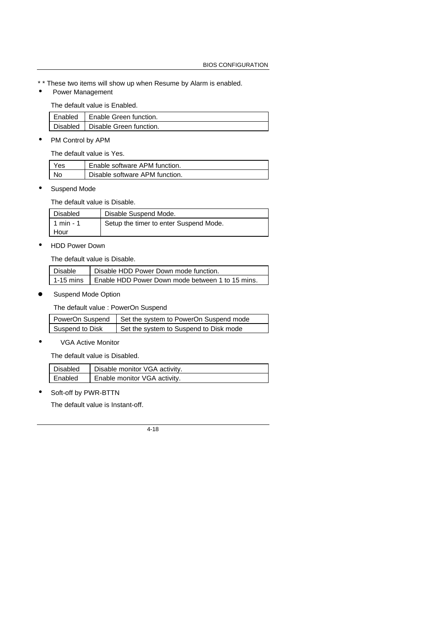- \* \* These two items will show up when Resume by Alarm is enabled.
- Power Management

The default value is Enabled.

| Enabled   Enable Green function.   |
|------------------------------------|
| Disabled   Disable Green function. |

• PM Control by APM

The default value is Yes.

| Yes | Enable software APM function.  |
|-----|--------------------------------|
| No  | Disable software APM function. |

Suspend Mode

The default value is Disable.

| Disabled  | Disable Suspend Mode.                  |
|-----------|----------------------------------------|
| 1 min - 1 | Setup the timer to enter Suspend Mode. |
| Hour      |                                        |

• HDD Power Down

The default value is Disable.

| Disable | Disable HDD Power Down mode function.                        |
|---------|--------------------------------------------------------------|
|         | 1-15 mins L Enable HDD Power Down mode between 1 to 15 mins. |

Suspend Mode Option

The default value : PowerOn Suspend

|                 | PowerOn Suspend   Set the system to PowerOn Suspend mode |
|-----------------|----------------------------------------------------------|
| Suspend to Disk | Set the system to Suspend to Disk mode                   |

• VGA Active Monitor

The default value is Disabled.

| Disabled | Disable monitor VGA activity. |
|----------|-------------------------------|
| Enabled  | Enable monitor VGA activity.  |

• Soft-off by PWR-BTTN

The default value is Instant-off.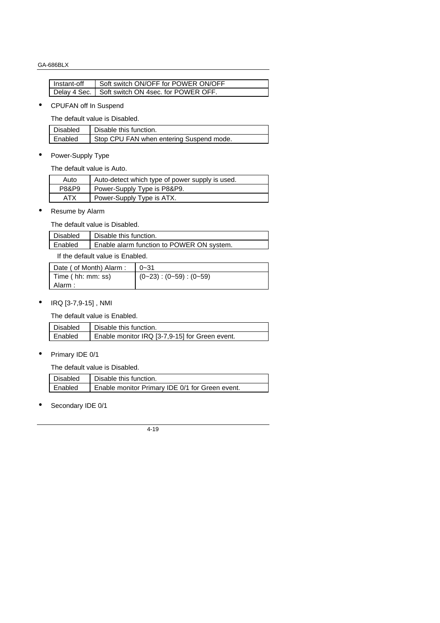| Instant-off | Soft switch ON/OFF for POWER ON/OFF                |
|-------------|----------------------------------------------------|
|             | Delay 4 Sec.   Soft switch ON 4sec. for POWER OFF. |

## • CPUFAN off In Suspend

The default value is Disabled.

| Disabled | Disable this function.                   |
|----------|------------------------------------------|
| Enabled  | Stop CPU FAN when entering Suspend mode. |

• Power-Supply Type

The default value is Auto.

| Auto       | Auto-detect which type of power supply is used. |
|------------|-------------------------------------------------|
| P8&P9      | Power-Supply Type is P8&P9.                     |
| <b>ATX</b> | Power-Supply Type is ATX.                       |

• Resume by Alarm

The default value is Disabled.

| Disabled | Disable this function.                    |
|----------|-------------------------------------------|
| Enabled  | Enable alarm function to POWER ON system. |
|          |                                           |

If the default value is Enabled.

| Date ( of Month) Alarm : | $10 - 31$              |
|--------------------------|------------------------|
| Time (hh: mm: ss)        | $(0-23):(0-59):(0-59)$ |
| Alarm :                  |                        |

• IRQ [3-7,9-15] , NMI

The default value is Enabled.

| Disabled | Disable this function.                         |
|----------|------------------------------------------------|
| Enabled  | Enable monitor IRQ [3-7,9-15] for Green event. |

• Primary IDE 0/1

The default value is Disabled.

| Disabled | Disable this function.                          |
|----------|-------------------------------------------------|
| Enabled  | Enable monitor Primary IDE 0/1 for Green event. |

• Secondary IDE 0/1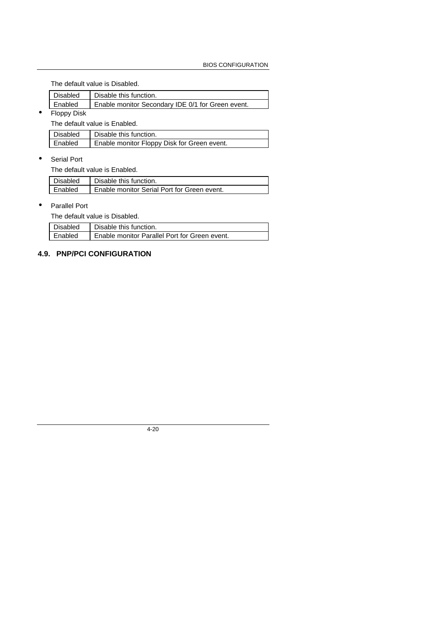The default value is Disabled.

| Disabled                | Disable this function.                            |
|-------------------------|---------------------------------------------------|
| l Enabled               | Enable monitor Secondary IDE 0/1 for Green event. |
| interests in the factor |                                                   |

• Floppy Disk

The default value is Enabled.

| Disabled | Disable this function.                      |
|----------|---------------------------------------------|
| Enabled  | Enable monitor Floppy Disk for Green event. |

• Serial Port

The default value is Enabled.

| Disabled  | Disable this function.                      |
|-----------|---------------------------------------------|
| I Enabled | Enable monitor Serial Port for Green event. |

#### • Parallel Port

The default value is Disabled.

| Disabled | Disable this function.                          |
|----------|-------------------------------------------------|
| Enabled  | L Enable monitor Parallel Port for Green event. |
|          |                                                 |

## **4.9. PNP/PCI CONFIGURATION**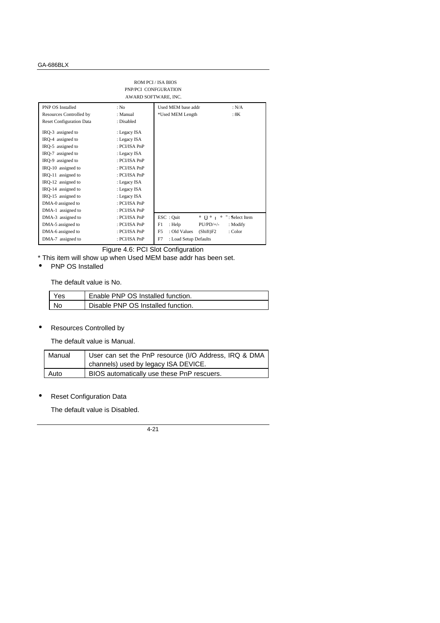| <b>ROM PCI / ISA BIOS</b><br>PNP/PCI CONFGURATION<br>AWARD SOFTWARE, INC. |               |                                |                            |
|---------------------------------------------------------------------------|---------------|--------------------------------|----------------------------|
| <b>PNP OS Installed</b>                                                   | : No          | Used MEM base addr             | : N/A                      |
| Resources Controlled by                                                   | : Manual      | *Used MEM Length               | :8K                        |
| <b>Reset Configuration Data</b>                                           | : Disabled    |                                |                            |
| IRQ-3 assigned to                                                         | : Legacy ISA  |                                |                            |
| IRQ-4 assigned to                                                         | : Legacy ISA  |                                |                            |
| IRQ-5 assigned to                                                         | : PCI/ISA PnP |                                |                            |
| IRQ-7 assigned to                                                         | : Legacy ISA  |                                |                            |
| IRQ-9 assigned to                                                         | : PCI/ISA PnP |                                |                            |
| IRQ-10 assigned to                                                        | : PCI/ISA PnP |                                |                            |
| IRQ-11 assigned to                                                        | : PCI/ISA PnP |                                |                            |
| IRQ-12 assigned to                                                        | : Legacy ISA  |                                |                            |
| IRQ-14 assigned to                                                        | : Legacy ISA  |                                |                            |
| IRQ-15 assigned to                                                        | : Legacy ISA  |                                |                            |
| DMA-0 assigned to                                                         | : PCI/ISA PnP |                                |                            |
| DMA-1 assigned to                                                         | : PCI/ISA PnP |                                |                            |
| DMA-3 assigned to                                                         | : PCI/ISA PnP | $\text{ESC}:\text{Quit}$       | i Ôi Õi $\div$ Select Item |
| DMA-5 assigned to                                                         | : PCI/ISA PnP | F1<br>: Help                   | $PU/PD/+/-$<br>: Modify    |
| DMA-6 assigned to                                                         | : PCI/ISA PnP | F <sub>5</sub><br>: Old Values | (Shift)F2<br>: Color       |
| DMA-7 assigned to                                                         | : PCI/ISA PnP | F7<br>: Load Setup Defaults    |                            |

Figure 4.6: PCI Slot Configuration

- \* This item will show up when Used MEM base addr has been set.
- PNP OS Installed

The default value is No.

| Yes | Enable PNP OS Installed function.  |
|-----|------------------------------------|
| No  | Disable PNP OS Installed function. |

• Resources Controlled by

The default value is Manual.

| Manual | User can set the PnP resource (I/O Address, IRQ & DMA |
|--------|-------------------------------------------------------|
|        | channels) used by legacy ISA DEVICE.                  |
| Auto   | BIOS automatically use these PnP rescuers.            |

• Reset Configuration Data

The default value is Disabled.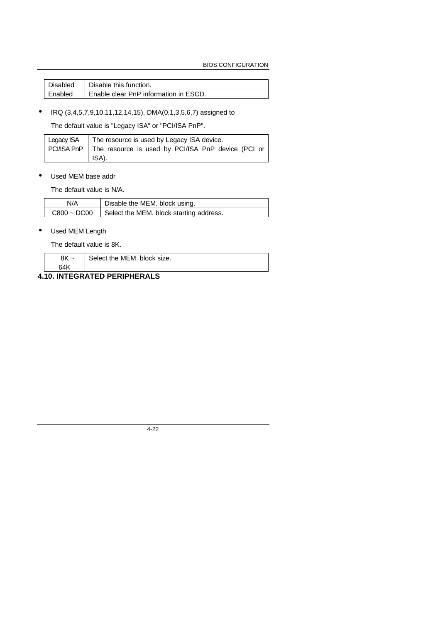BIOS CONFIGURATION

| l Disabled | Disable this function.                |
|------------|---------------------------------------|
| l Enabled  | Enable clear PnP information in ESCD. |

• IRQ (3,4,5,7,9,10,11,12,14,15), DMA(0,1,3,5,6,7) assigned to

The default value is "Legacy ISA" or "PCI/ISA PnP".

| Legacy ISA   The resource is used by Legacy ISA device.                       |
|-------------------------------------------------------------------------------|
| PCI/ISA PnP   The resource is used by PCI/ISA PnP device (PCI or<br>$ $ ISA). |

## • Used MEM base addr

The default value is N/A.

| N/A              | Disable the MEM. block using.           |
|------------------|-----------------------------------------|
| $C800 \sim DCO0$ | Select the MEM. block starting address. |

## • Used MEM Length

The default value is 8K.

| 8K<br>$\tilde{\phantom{a}}$ | Select the MEM, block size. |
|-----------------------------|-----------------------------|
| 64K                         |                             |
|                             |                             |

# **4.10. INTEGRATED PERIPHERALS**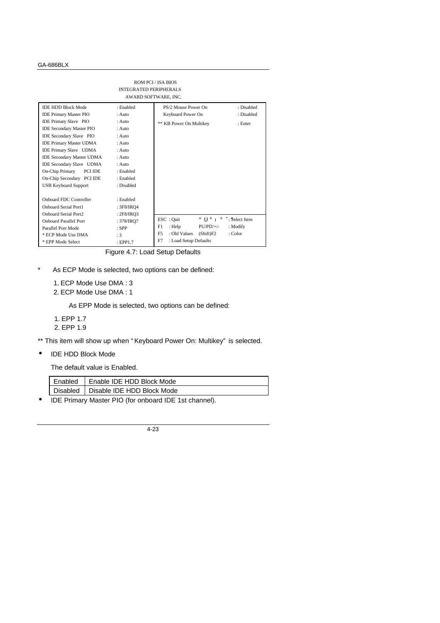|                                          | <b>INTEGRATED PERIPHERALS</b><br>AWARD SOFTWARE, INC. | ROM PCI / ISA BIOS                          |                    |
|------------------------------------------|-------------------------------------------------------|---------------------------------------------|--------------------|
| <b>IDE HDD Block Mode</b>                | : Enabled                                             | PS/2 Mouse Power On                         | : Disabled         |
| <b>IDE Primary Master PIO</b>            | $:$ Auto                                              | Keyboard Power On                           | : Disabled         |
| <b>IDE Primary Slave PIO</b>             | $:$ Auto                                              | ** KB Power On Multikey                     | : Enter            |
| <b>IDE Secondary Master PIO</b>          | $:$ Auto                                              |                                             |                    |
| <b>IDE Secondary Slave PIO</b>           | $:$ Auto                                              |                                             |                    |
| <b>IDE Primary Master UDMA</b>           | $:$ Auto                                              |                                             |                    |
| <b>IDE Primary Slave UDMA</b>            | $:$ Auto                                              |                                             |                    |
| <b>IDE Secondary Master UDMA</b>         | $:$ Auto                                              |                                             |                    |
| <b>IDE Secondary Slave UDMA</b>          | $:$ Auto                                              |                                             |                    |
| <b>On-Chip Primary</b><br><b>PCI IDE</b> | : Enabled                                             |                                             |                    |
| On-Chip Secondary PCI IDE                | : Enabled                                             |                                             |                    |
| <b>USB Keyboard Support</b>              | : Disabled                                            |                                             |                    |
|                                          |                                                       |                                             |                    |
| Onboard FDC Controller                   | : Enabled                                             |                                             |                    |
| <b>Onboard Serial Port1</b>              | : 3F8/IRO4                                            |                                             |                    |
| <b>Onboard Serial Port2</b>              | : $2F8/IRO3$                                          |                                             |                    |
| <b>Onboard Parallel Port</b>             | : 378/IRO7                                            | ESC : Quit<br>i Ôi Õi                       | $\div$ Select Item |
| Parallel Port Mode                       | $:$ SPP                                               | $PU/PD/+/-$<br>F1<br>: Help                 | : Modify           |
| * ECP Mode Use DMA                       | :3                                                    | : Old Values<br>F <sub>5</sub><br>(Shift)F2 | : Color            |
| * EPP Mode Select                        | EPP1.7                                                | F7<br>: Load Setup Defaults                 |                    |

Figure 4.7: Load Setup Defaults

- \* As ECP Mode is selected, two options can be defined:
	- 1. ECP Mode Use DMA : 3
	- 2. ECP Mode Use DMA : 1

As EPP Mode is selected, two options can be defined:

1. EPP 1.7

2. EPP 1.9

\*\* This item will show up when " Keyboard Power On: Multikey" is selected.

• IDE HDD Block Mode

The default value is Enabled.

| Enabled         | Enable IDE HDD Block Mode  |
|-----------------|----------------------------|
| <b>Disabled</b> | Disable IDE HDD Block Mode |

• IDE Primary Master PIO (for onboard IDE 1st channel).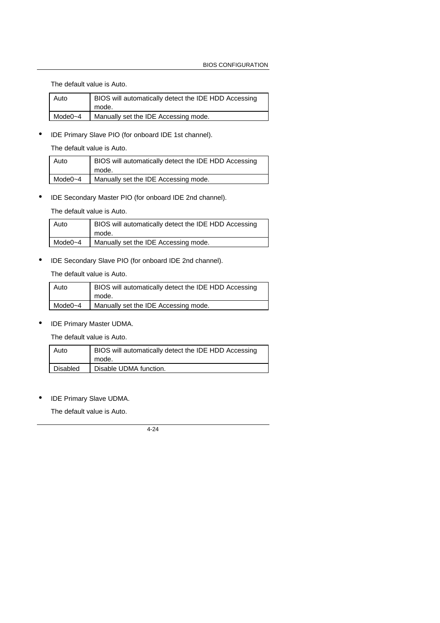The default value is Auto.

| Auto    | BIOS will automatically detect the IDE HDD Accessing |
|---------|------------------------------------------------------|
|         | mode.                                                |
| Mode0~4 | Manually set the IDE Accessing mode.                 |

• IDE Primary Slave PIO (for onboard IDE 1st channel).

The default value is Auto.

| Auto        | BIOS will automatically detect the IDE HDD Accessing<br>mode. |
|-------------|---------------------------------------------------------------|
| Mode $0$ ~4 | Manually set the IDE Accessing mode.                          |

• IDE Secondary Master PIO (for onboard IDE 2nd channel).

The default value is Auto.

| Auto        | BIOS will automatically detect the IDE HDD Accessing<br>mode. |
|-------------|---------------------------------------------------------------|
| Mode $0$ ~4 | Manually set the IDE Accessing mode.                          |

• IDE Secondary Slave PIO (for onboard IDE 2nd channel).

The default value is Auto.

| Auto    | BIOS will automatically detect the IDE HDD Accessing<br>mode. |
|---------|---------------------------------------------------------------|
| Mode0~4 | Manually set the IDE Accessing mode.                          |

• IDE Primary Master UDMA.

The default value is Auto.

| l Auto          | BIOS will automatically detect the IDE HDD Accessing<br>mode. |
|-----------------|---------------------------------------------------------------|
| <b>Disabled</b> | Disable UDMA function.                                        |

• IDE Primary Slave UDMA.

The default value is Auto.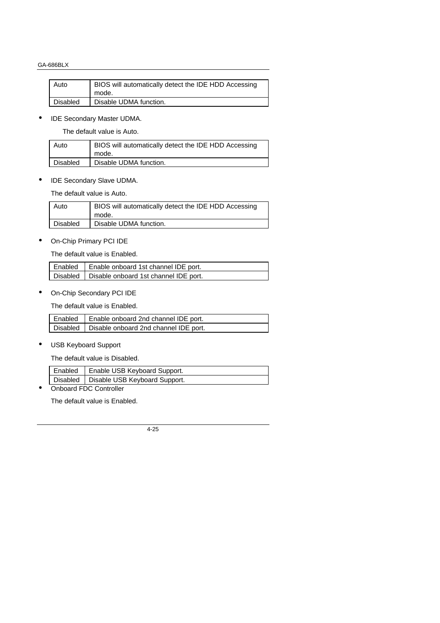| Auto     | BIOS will automatically detect the IDE HDD Accessing |
|----------|------------------------------------------------------|
|          | mode.                                                |
| Disabled | Disable UDMA function.                               |

• IDE Secondary Master UDMA.

The default value is Auto.

| Auto            | BIOS will automatically detect the IDE HDD Accessing<br>mode. |
|-----------------|---------------------------------------------------------------|
| <b>Disabled</b> | Disable UDMA function.                                        |

• IDE Secondary Slave UDMA.

The default value is Auto.

| Auto            | BIOS will automatically detect the IDE HDD Accessing |
|-----------------|------------------------------------------------------|
|                 | mode.                                                |
| <b>Disabled</b> | Disable UDMA function.                               |
|                 |                                                      |

• On-Chip Primary PCI IDE

The default value is Enabled.

| Enabled   Enable onboard 1st channel IDE port.   |
|--------------------------------------------------|
| Disabled   Disable onboard 1st channel IDE port. |

• On-Chip Secondary PCI IDE

The default value is Enabled.

| Enabled   Enable onboard 2nd channel IDE port.   |
|--------------------------------------------------|
| Disabled   Disable onboard 2nd channel IDE port. |

• USB Keyboard Support

The default value is Disabled.

| Enabled   Enable USB Keyboard Support.   |
|------------------------------------------|
| Disabled   Disable USB Keyboard Support. |

• Onboard FDC Controller

The default value is Enabled.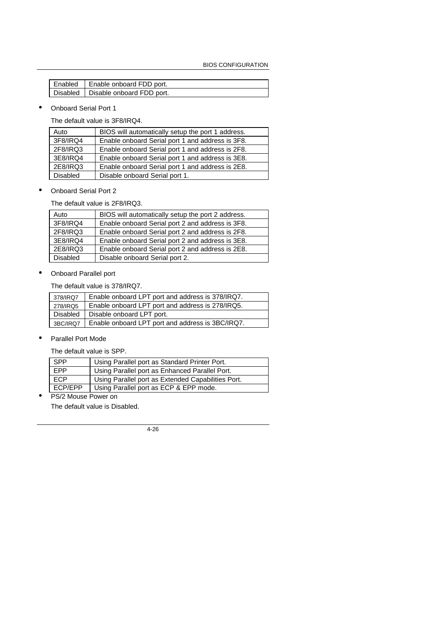| Enabled   Enable onboard FDD port.   |
|--------------------------------------|
| Disabled   Disable onboard FDD port. |

• Onboard Serial Port 1

The default value is 3F8/IRQ4.

| Auto     | BIOS will automatically setup the port 1 address. |
|----------|---------------------------------------------------|
| 3F8/IRQ4 | Enable onboard Serial port 1 and address is 3F8.  |
| 2F8/IRQ3 | Enable onboard Serial port 1 and address is 2F8.  |
| 3E8/IRQ4 | Enable onboard Serial port 1 and address is 3E8.  |
| 2E8/IRQ3 | Enable onboard Serial port 1 and address is 2E8.  |
| Disabled | Disable onboard Serial port 1.                    |

• Onboard Serial Port 2

The default value is 2F8/IRQ3.

| Auto            | BIOS will automatically setup the port 2 address. |
|-----------------|---------------------------------------------------|
| 3F8/IRQ4        | Enable onboard Serial port 2 and address is 3F8.  |
| 2F8/IRQ3        | Enable onboard Serial port 2 and address is 2F8.  |
| 3E8/IRQ4        | Enable onboard Serial port 2 and address is 3E8.  |
| 2E8/IRQ3        | Enable onboard Serial port 2 and address is 2E8.  |
| <b>Disabled</b> | Disable onboard Serial port 2.                    |

• Onboard Parallel port

The default value is 378/IRQ7.

| 378/IRQ7 | Enable onboard LPT port and address is 378/IRQ7.            |
|----------|-------------------------------------------------------------|
| 278/IRQ5 | Enable onboard LPT port and address is 278/IRQ5.            |
| Disabled | Disable onboard LPT port.                                   |
|          | 3BC/IRQ7   Enable onboard LPT port and address is 3BC/IRQ7. |

• Parallel Port Mode

The default value is SPP.

| <b>SPP</b> | Using Parallel port as Standard Printer Port.      |
|------------|----------------------------------------------------|
| EPP        | Using Parallel port as Enhanced Parallel Port.     |
| <b>ECP</b> | Using Parallel port as Extended Capabilities Port. |
| ECP/EPP    | Using Parallel port as ECP & EPP mode.             |
| -----      |                                                    |

• PS/2 Mouse Power on

The default value is Disabled.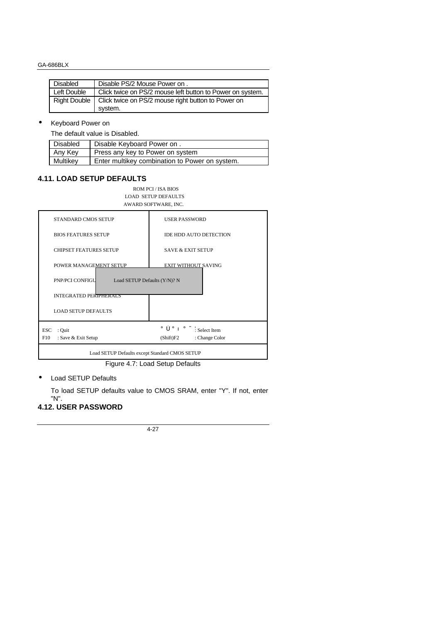| Disabled     | Disable PS/2 Mouse Power on.                              |
|--------------|-----------------------------------------------------------|
| Left Double  | Click twice on PS/2 mouse left button to Power on system. |
| Right Double | Click twice on PS/2 mouse right button to Power on        |
|              | system.                                                   |

## • Keyboard Power on

The default value is Disabled.

| Disabled | Disable Keyboard Power on.                     |
|----------|------------------------------------------------|
| Any Key  | Press any key to Power on system               |
| Multikey | Enter multikey combination to Power on system. |

## **4.11. LOAD SETUP DEFAULTS**

ROM PCI / ISA BIOS LOAD SETUP DEFAULTS AWARD SOFTWARE, INC.

| <b>STANDARD CMOS SETUP</b>                      | <b>USER PASSWORD</b>                       |  |  |  |  |
|-------------------------------------------------|--------------------------------------------|--|--|--|--|
| <b>BIOS FEATURES SETUP</b>                      | <b>IDE HDD AUTO DETECTION</b>              |  |  |  |  |
| <b>CHIPSET FEATURES SETUP</b>                   | <b>SAVE &amp; EXIT SETUP</b>               |  |  |  |  |
| POWER MANAGEMENT SETUP                          | <b>EXIT WITHOUT SAVING</b>                 |  |  |  |  |
| PNP/PCI CONFIGU<br>Load SETUP Defaults (Y/N)? N |                                            |  |  |  |  |
| <b>INTEGRATED PERIPHERALS</b>                   |                                            |  |  |  |  |
| <b>LOAD SETUP DEFAULTS</b>                      |                                            |  |  |  |  |
| <b>ESC</b><br>: Quit                            | $i \hat{O} i \hat{O} i \div i$ Select Item |  |  |  |  |
| F10<br>: Save & Exit Setup                      | (Shift)F2<br>: Change Color                |  |  |  |  |
| Load SETUP Defaults except Standard CMOS SETUP  |                                            |  |  |  |  |

Figure 4.7: Load Setup Defaults

• Load SETUP Defaults

To load SETUP defaults value to CMOS SRAM, enter "Y". If not, enter "N".

# **4.12. USER PASSWORD**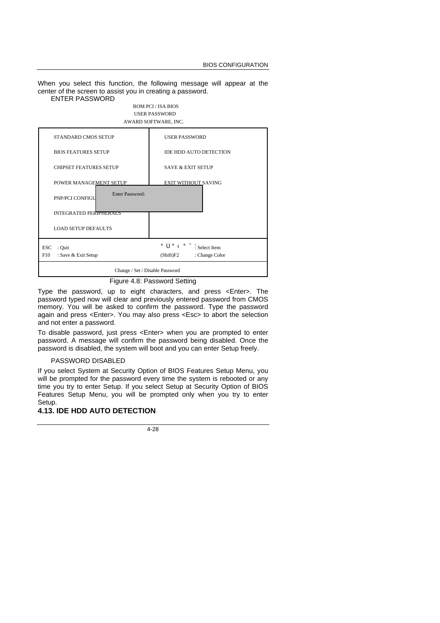When you select this function, the following message will appear at the center of the screen to assist you in creating a password.

#### ENTER PASSWORD

#### ROM PCI / ISA BIOS USER PASSWORD AWARD SOFTWARE, INC.



Figure 4.8: Password Setting

Type the password, up to eight characters, and press <Enter>. The password typed now will clear and previously entered password from CMOS memory. You will be asked to confirm the password. Type the password again and press <Enter>. You may also press <Esc> to abort the selection and not enter a password.

To disable password, just press <Enter> when you are prompted to enter password. A message will confirm the password being disabled. Once the password is disabled, the system will boot and you can enter Setup freely.

#### PASSWORD DISABLED

If you select System at Security Option of BIOS Features Setup Menu, you will be prompted for the password every time the system is rebooted or any time you try to enter Setup. If you select Setup at Security Option of BIOS Features Setup Menu, you will be prompted only when you try to enter Setup.

#### **4.13. IDE HDD AUTO DETECTION**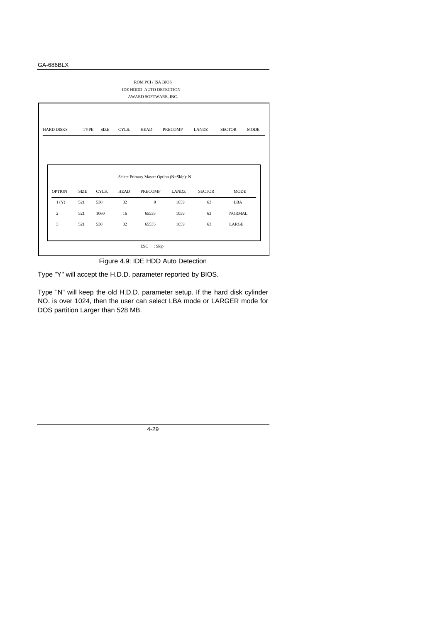| ROM PCI / ISA BIOS<br>IDE HDDD AUTO DETECTION<br>AWARD SOFTWARE, INC.                                                       |             |       |             |                |              |               |               |  |  |
|-----------------------------------------------------------------------------------------------------------------------------|-------------|-------|-------------|----------------|--------------|---------------|---------------|--|--|
| <b>HARD DISKS</b><br>CYLS.<br><b>HEAD</b><br><b>SECTOR</b><br><b>MODE</b><br>TYPE<br><b>SIZE</b><br><b>PRECOMP</b><br>LANDZ |             |       |             |                |              |               |               |  |  |
|                                                                                                                             |             |       |             |                |              |               |               |  |  |
| Select Primary Master Option (N=Skip): N                                                                                    |             |       |             |                |              |               |               |  |  |
|                                                                                                                             |             |       |             |                |              |               |               |  |  |
| <b>OPTION</b>                                                                                                               | <b>SIZE</b> | CYLS. | <b>HEAD</b> | <b>PRECOMP</b> | <b>LANDZ</b> | <b>SECTOR</b> | <b>MODE</b>   |  |  |
| 1(Y)                                                                                                                        | 521         | 530   | 32          | $\overline{0}$ | 1059         | 63            | LBA           |  |  |
| $\overline{c}$                                                                                                              | 521         | 1060  | 16          | 65535          | 1059         | 63            | <b>NORMAL</b> |  |  |
| 3                                                                                                                           | 521         | 530   | 32          | 65535          | 1059         | 63            | LARGE         |  |  |

Figure 4.9: IDE HDD Auto Detection

Type "Y" will accept the H.D.D. parameter reported by BIOS.

Type "N" will keep the old H.D.D. parameter setup. If the hard disk cylinder NO. is over 1024, then the user can select LBA mode or LARGER mode for DOS partition Larger than 528 MB.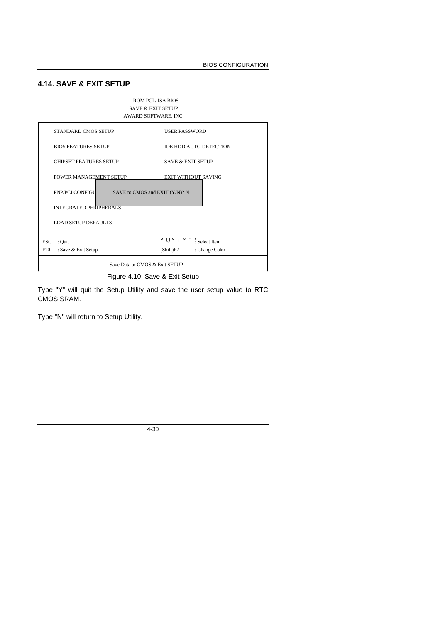# **4.14. SAVE & EXIT SETUP**



Figure 4.10: Save & Exit Setup

Type "Y" will quit the Setup Utility and save the user setup value to RTC CMOS SRAM.

Type "N" will return to Setup Utility.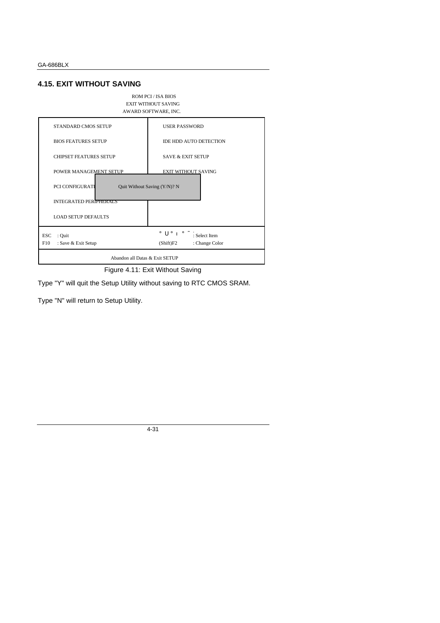## **4.15. EXIT WITHOUT SAVING**



Type "Y" will quit the Setup Utility without saving to RTC CMOS SRAM.

Type "N" will return to Setup Utility.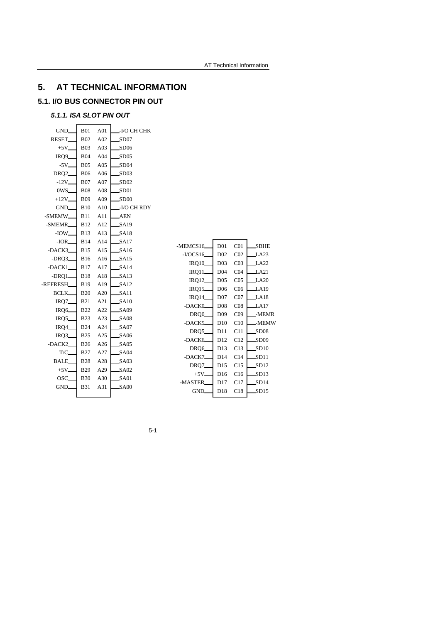# **5. AT TECHNICAL INFORMATION**

# **5.1. I/O BUS CONNECTOR PIN OUT**

## *5.1.1. ISA SLOT PIN OUT*

| GND_             | <b>B01</b> | A01 | -I/O CH CHK      |                                |                 |                 |                          |
|------------------|------------|-----|------------------|--------------------------------|-----------------|-----------------|--------------------------|
| RESET_           | <b>B02</b> | A02 | SD07             |                                |                 |                 |                          |
| $+5V$            | <b>B03</b> | A03 | SD06             |                                |                 |                 |                          |
| IRQ9_            | <b>B04</b> | A04 | SD05             |                                |                 |                 |                          |
| $-5V_{-}$        | <b>B05</b> | A05 | SD04             |                                |                 |                 |                          |
| DRQ <sub>2</sub> | <b>B06</b> | A06 | SD03             |                                |                 |                 |                          |
| $-12V$           | <b>B07</b> | A07 | SD02             |                                |                 |                 |                          |
| 0WS_             | <b>B08</b> | A08 | SD <sub>01</sub> |                                |                 |                 |                          |
| $+12V$           | <b>B09</b> | A09 | SD00             |                                |                 |                 |                          |
| GND_             | <b>B10</b> | A10 | -I/O CH RDY      |                                |                 |                 |                          |
| -SMEMW_          | <b>B11</b> | A11 | <b>AEN</b>       |                                |                 |                 |                          |
| -SMEMR           | <b>B12</b> | A12 | SA19             |                                |                 |                 |                          |
| $-IOW$           | <b>B13</b> | A13 | SA18             |                                |                 |                 |                          |
| $-IOR$           | <b>B14</b> | A14 | SA17             | -MEMCS16                       | D <sub>01</sub> | C <sub>01</sub> | <b>SBHE</b>              |
| -DACK3           | <b>B15</b> | A15 | SA16             | $-I/OCS16$                     | D02             | CO <sub>2</sub> | LA23                     |
| $-DRQ3$          | <b>B16</b> | A16 | SA15             | <b>IRQ10_</b>                  | D <sub>03</sub> | CO <sub>3</sub> | LA <sub>22</sub>         |
| -DACK1           | <b>B17</b> | A17 | SA14             |                                | D <sub>04</sub> | CO <sub>4</sub> | LA21                     |
| -DRQ1            | <b>B18</b> | A18 | SA13             | $IRQ11$ <sub>-</sub><br>IRQ12_ | D <sub>05</sub> | CO <sub>5</sub> | LA20                     |
| -REFRESH         | <b>B19</b> | A19 | SA12             | IRQ15_                         | D <sub>06</sub> | C <sub>06</sub> | LA19                     |
| <b>BCLK</b>      | <b>B20</b> | A20 | SA11             | <b>IRQ14</b>                   | D <sub>07</sub> | CO7             | LA18                     |
| IRQ7             | <b>B21</b> | A21 | SA10             | -DACK0                         | D <sub>08</sub> | CO8             | LA17                     |
| IRQ6_            | <b>B22</b> | A22 | SA09             | DRQ0_                          | D <sub>09</sub> | CO9             | -MEMR                    |
| IRQ5             | <b>B23</b> | A23 | SA08             | -DACK5                         | D10             | C10             | -MEMW                    |
| IRQ4             | <b>B24</b> | A24 | SA07             | DRQ5_                          | D11             | C11             | SD <sub>08</sub>         |
| IRQ3             | <b>B25</b> | A25 | SA06             | -DACK6                         | D12             |                 |                          |
| -DACK2           | <b>B26</b> | A26 | SA05             | DRQ6                           | D13             | C12<br>C13      | SD <sub>09</sub><br>SD10 |
| T/C              | <b>B27</b> | A27 | SA04             | -DACK7                         | D14             | C14             | SD11                     |
| <b>BALE</b>      | <b>B28</b> | A28 | SA03             |                                |                 |                 |                          |
| $+5V$            | <b>B29</b> | A29 | SA02             | DRQ7<br>$+5V_{-}$              | D15<br>D16      | C15<br>C16      | SD12<br>SD13             |
| OSC_             | <b>B30</b> | A30 | SA01             | -MASTER                        | D17             | C17             |                          |
| GND.             | <b>B31</b> | A31 | SA00             |                                |                 |                 | SD14                     |
|                  |            |     |                  | GND.                           | D18             | C18             | SD15                     |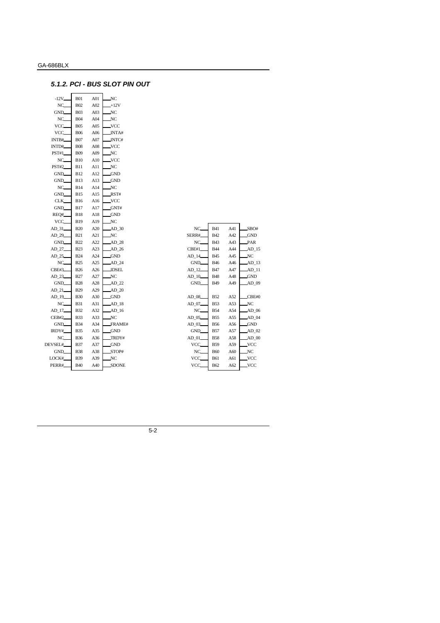## *5.1.2. PCI - BUS SLOT PIN OUT*

| $-12V$       | <b>B01</b>  | A01 | NC           |
|--------------|-------------|-----|--------------|
| NC.          | <b>B02</b>  | A02 | $+12V$       |
| GND.         | <b>B03</b>  | A03 | NC           |
| NC           | <b>B04</b>  | A04 | $_{\rm NC}$  |
| VCC.         | <b>B05</b>  | A05 | VCC          |
| VCC.         | <b>B06</b>  | A06 | INTA#        |
| INTB#        | <b>B07</b>  | A07 | INTC#        |
| INTD#        | <b>B08</b>  | A08 | VCC.         |
| <b>PST#1</b> | <b>B09</b>  | A09 | NC           |
| NC.          | <b>B10</b>  | A10 | VCC.         |
| <b>PST#2</b> | <b>B11</b>  | A11 | NC           |
| GND.         | <b>B12</b>  | A12 | GND          |
| GND_         | <b>B</b> 13 | A13 | <b>GND</b>   |
| NC.          | <b>B14</b>  | A14 | NC           |
| GND_         | B15         | A15 | RST#         |
| CLK_         | <b>B16</b>  | A16 | VCC.         |
| GND.         | <b>B17</b>  | A17 | GNT#         |
| REQ#         | <b>B18</b>  | A18 | GND          |
| VCC          | B19         | A19 | NC           |
| AD_31        | <b>B20</b>  | A20 | $AD_30$      |
| AD_29        | <b>B21</b>  | A21 | NC           |
| GND.         | <b>B22</b>  | A22 | AD_28        |
| AD_27        | <b>B23</b>  | A23 | AD_26        |
| AD_25        | <b>B24</b>  | A24 | GND          |
| NC.          | <b>B25</b>  | A25 | AD_24        |
| <b>CBE#3</b> | <b>B26</b>  | A26 | <b>IDSEL</b> |
| AD_23        | <b>B27</b>  | A27 | NC           |
| GND_         | <b>B28</b>  | A28 | AD_22        |
| $AD_21$      | <b>B29</b>  | A29 | AD_20        |
| AD_19        | <b>B30</b>  | A30 | GND          |
| NC.          | <b>B31</b>  | A31 | AD_18        |
| AD_17        | <b>B32</b>  | A32 | $AD_16$      |
| CEB#2        | <b>B33</b>  | A33 | NC           |
| GND.         | <b>B34</b>  | A34 | FRAME#       |
| IRDY#        | <b>B35</b>  | A35 | GND          |
| NC.          | <b>B36</b>  | A36 | TRDY#        |
| DEVSEL#      | <b>B37</b>  | A37 | <b>GND</b>   |
| GND.         | <b>B38</b>  | A38 | STOP#        |
| LOCK#        | B39         | A39 | NC           |
| PERR#        | <b>B40</b>  | A40 | SDONE        |
|              |             |     |              |

| $NC_{-}$   | <b>B41</b> | A41 | SBO#       |
|------------|------------|-----|------------|
| SERR#_     | <b>B42</b> | A42 | <b>GND</b> |
| $NC_{-}$   | <b>B43</b> | A43 | PAR        |
| CBE#1      | <b>B44</b> | A44 | AD 15      |
| AD 14      | <b>B45</b> | A45 | NC.        |
| GND_       | <b>B46</b> | A46 | AD 13      |
| AD 12      | <b>B47</b> | A47 | AD 11      |
| $AD$ $10$  | <b>B48</b> | A48 | <b>GND</b> |
| GND_       | <b>B49</b> | A49 | AD 09      |
|            |            |     |            |
| AD 08      | <b>B52</b> | A52 | CBE#0      |
| AD 07.     | <b>B53</b> | A53 | NC.        |
| NC.        | <b>B54</b> | A54 | AD 06      |
| AD_05      | <b>B55</b> | A55 | AD 04      |
| AD 03      | <b>B56</b> | A56 | <b>GND</b> |
| GND_       | <b>B57</b> | A57 | AD 02      |
| $AD_01$    | <b>B58</b> | A58 | $AD$ 00    |
| VCC_       | <b>B59</b> | A59 | VCC.       |
| $NC_{-}$   | <b>B60</b> | A60 | NC.        |
| VCC.       | <b>B61</b> | A61 | VCC.       |
| <b>VCC</b> | <b>B62</b> | A62 | VCC.       |
|            |            |     |            |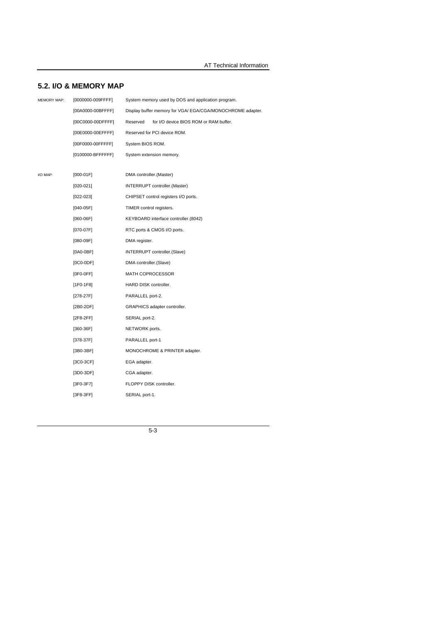# **5.2. I/O & MEMORY MAP**

| <b>MEMORY MAP:</b> | [0000000-009FFFF] | System memory used by DOS and application program.        |
|--------------------|-------------------|-----------------------------------------------------------|
|                    | [00A0000-00BFFFF] | Display buffer memory for VGA/EGA/CGA/MONOCHROME adapter. |
|                    | [00C0000-00DFFFF] | Reserved<br>for I/O device BIOS ROM or RAM buffer.        |
|                    | [00E0000-00EFFFF] | Reserved for PCI device ROM.                              |
|                    | [00F0000-00FFFFF] | System BIOS ROM.                                          |
|                    | [0100000-BFFFFFF] | System extension memory.                                  |
|                    |                   |                                                           |
| I/O MAP:           | $[000-01F]$       | DMA controller.(Master)                                   |
|                    | $[020-021]$       | INTERRUPT controller. (Master)                            |
|                    | $[022-023]$       | CHIPSET control registers I/O ports.                      |
|                    | $[040-05F]$       | TIMER control registers.                                  |
|                    | $[060-06F]$       | KEYBOARD interface controller.(8042)                      |
|                    | [070-07F]         | RTC ports & CMOS I/O ports.                               |
|                    | [080-09F]         | DMA register.                                             |
|                    | $[0A0-0BF]$       | INTERRUPT controller.(Slave)                              |
|                    | $[0C0-0DF]$       | DMA controller.(Slave)                                    |
|                    | $[0F0-0FF]$       | <b>MATH COPROCESSOR</b>                                   |
|                    | $[1F0-1F8]$       | HARD DISK controller.                                     |
|                    | $[278-27F]$       | PARALLEL port-2.                                          |
|                    | $[2B0-2DF]$       | GRAPHICS adapter controller.                              |
|                    | $[2F8-2FF]$       | SERIAL port-2.                                            |
|                    | $[360-36F]$       | NETWORK ports.                                            |
|                    | $[378-37F]$       | PARALLEL port-1                                           |
|                    | [3B0-3BF]         | MONOCHROME & PRINTER adapter.                             |
|                    | $[3C0-3CF]$       | EGA adapter.                                              |
|                    | $[3D0-3DF]$       | CGA adapter.                                              |
|                    | [3F0-3F7]         | FLOPPY DISK controller.                                   |
|                    | $[3F8-3FF]$       | SERIAL port-1.                                            |
|                    |                   |                                                           |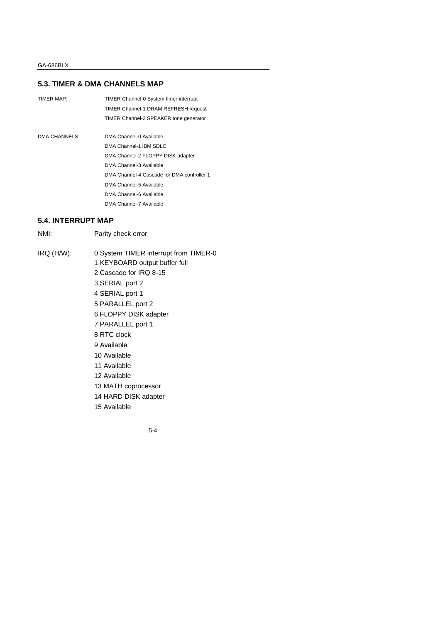#### **5.3. TIMER & DMA CHANNELS MAP**

| TIMER MAP:    | TIMER Channel-0 System timer interrupt     |
|---------------|--------------------------------------------|
|               | TIMER Channel-1 DRAM REFRESH request       |
|               | TIMER Channel-2 SPEAKER tone generator     |
|               |                                            |
| DMA CHANNELS: | DMA Channel-0 Available                    |
|               | DMA Channel-1 IBM SDLC                     |
|               | DMA Channel-2 FLOPPY DISK adapter          |
|               | DMA Channel-3 Available                    |
|               | DMA Channel-4 Cascade for DMA controller 1 |
|               | DMA Channel-5 Available                    |
|               | DMA Channel-6 Available                    |
|               | DMA Channel-7 Available                    |

## **5.4. INTERRUPT MAP**

NMI: Parity check error

IRQ (H/W): 0 System TIMER interrupt from TIMER-0 1 KEYBOARD output buffer full 2 Cascade for IRQ 8-15 3 SERIAL port 2 4 SERIAL port 1 5 PARALLEL port 2 6 FLOPPY DISK adapter 7 PARALLEL port 1 8 RTC clock 9 Available 10 Available 11 Available 12 Available 13 MATH coprocessor 14 HARD DISK adapter 15 Available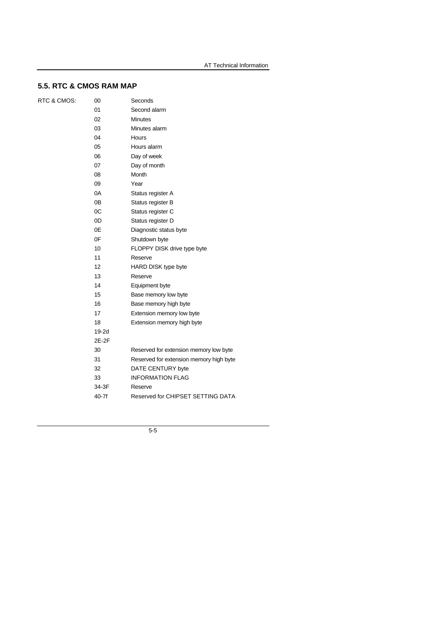# **5.5. RTC & CMOS RAM MAP**

| RTC & CMOS: |  |
|-------------|--|
|-------------|--|

| 00             | Seconds                                 |
|----------------|-----------------------------------------|
| 01             | Second alarm                            |
| 02             | Minutes                                 |
| 03             | Minutes alarm                           |
| 04             | Hours                                   |
| 05             | Hours alarm                             |
| 06             | Day of week                             |
| 07             | Day of month                            |
| 08             | Month                                   |
| 09             | Year                                    |
| 0A             | Status register A                       |
| 0 <sub>B</sub> | Status register B                       |
| 0C             | Status register C                       |
| 0D             | Status register D                       |
| 0Ε             | Diagnostic status byte                  |
| 0F             | Shutdown byte                           |
| 10             | FLOPPY DISK drive type byte             |
| 11             | Reserve                                 |
| 12             | <b>HARD DISK type byte</b>              |
| 13             | Reserve                                 |
| 14             | Equipment byte                          |
| 15             | Base memory low byte                    |
| 16             | Base memory high byte                   |
| 17             | Extension memory low byte               |
| 18             | Extension memory high byte              |
| 19-2d          |                                         |
| 2E-2F          |                                         |
| 30             | Reserved for extension memory low byte  |
| 31             | Reserved for extension memory high byte |
| 32             | DATE CENTURY byte                       |
| 33             | <b>INFORMATION FLAG</b>                 |
| 34-3F          | Reserve                                 |
| $40-7f$        | Reserved for CHIPSET SETTING DATA       |
|                |                                         |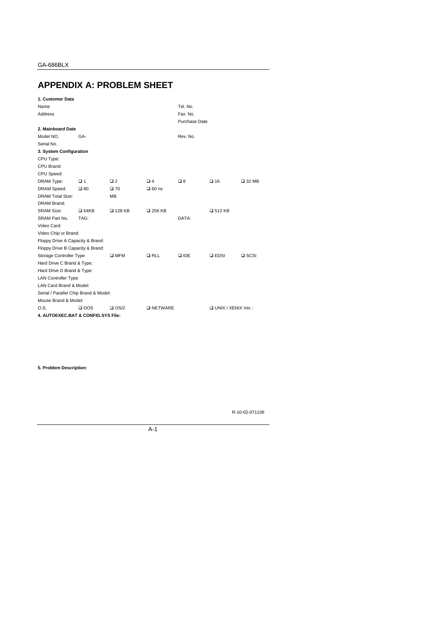# **APPENDIX A: PROBLEM SHEET**

| 1. Customer Data                      |               |               |                  |               |                             |                 |
|---------------------------------------|---------------|---------------|------------------|---------------|-----------------------------|-----------------|
| Name                                  |               |               |                  | Tel. No.      |                             |                 |
| Address                               |               |               |                  | Fax. No.      |                             |                 |
|                                       |               |               |                  | Purchase Date |                             |                 |
| 2. Mainboard Date                     |               |               |                  |               |                             |                 |
| Model NO.                             | GA-           |               |                  | Rev. No.      |                             |                 |
| Serial No.                            |               |               |                  |               |                             |                 |
| 3. System Configuration               |               |               |                  |               |                             |                 |
| CPU Type:                             |               |               |                  |               |                             |                 |
| CPU Brand:                            |               |               |                  |               |                             |                 |
| CPU Speed:                            |               |               |                  |               |                             |                 |
| DRAM Type:                            | $\square$ 1   | $\Box$ 2      | $\Box$ 4         | □8            | $\square$ 16                | $\square$ 32 MB |
| DRAM Speed:                           | $\square$ 80  | $\square$ 70  | $\Box$ 60 ns     |               |                             |                 |
| <b>DRAM Total Size:</b>               |               | <b>MB</b>     |                  |               |                             |                 |
| <b>DRAM Brand:</b>                    |               |               |                  |               |                             |                 |
| <b>SRAM Size:</b>                     | $Q$ 64KB      | □ 128 KB      | □ 256 KB         |               | □ 512 KB                    |                 |
| SRAM Part No.                         | TAG:          |               |                  | DATA:         |                             |                 |
| Video Card:                           |               |               |                  |               |                             |                 |
| Video Chip or Brand:                  |               |               |                  |               |                             |                 |
| Floppy Drive A Capacity & Brand:      |               |               |                  |               |                             |                 |
| Floppy Drive B Capacity & Brand:      |               |               |                  |               |                             |                 |
| Storage Controller Type               |               | $\square$ MFM | RLL              | <b>Q IDE</b>  | $\square$ EDSI              | $\square$ SCSI  |
| Hard Drive C Brand & Type:            |               |               |                  |               |                             |                 |
| Hard Drive D Brand & Type:            |               |               |                  |               |                             |                 |
| <b>LAN Controller Type:</b>           |               |               |                  |               |                             |                 |
| LAN Card Brand & Model:               |               |               |                  |               |                             |                 |
| Serial / Parallel Chip Brand & Model: |               |               |                  |               |                             |                 |
| Mouse Brand & Model:                  |               |               |                  |               |                             |                 |
| O.S.                                  | $\square$ DOS | $\Box$ OS/2   | <b>DINETWARE</b> |               | <b>Q UNIX / XENIX Ver.:</b> |                 |
| 4. AUTOEXEC.BAT & CONFIG.SYS File:    |               |               |                  |               |                             |                 |

**5. Problem Description:**

R-10-02-071106

A-1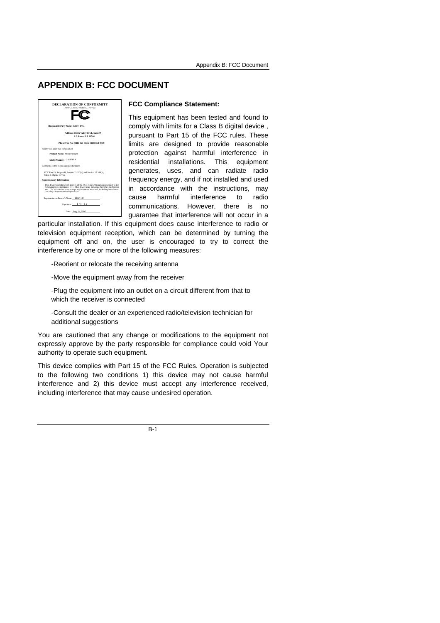# **APPENDIX B: FCC DOCUMENT**



#### **FCC Compliance Statement:**

This equipment has been tested and found to comply with limits for a Class B digital device , pursuant to Part 15 of the FCC rules. These limits are designed to provide reasonable protection against harmful interference in residential installations. This equipment generates, uses, and can radiate radio frequency energy, and if not installed and used in accordance with the instructions, may cause harmful interference to radio communications. However, there is no guarantee that interference will not occur in a

particular installation. If this equipment does cause interference to radio or television equipment reception, which can be determined by turning the equipment off and on, the user is encouraged to try to correct the interference by one or more of the following measures:

-Reorient or relocate the receiving antenna

-Move the equipment away from the receiver

-Plug the equipment into an outlet on a circuit different from that to which the receiver is connected

-Consult the dealer or an experienced radio/television technician for additional suggestions

You are cautioned that any change or modifications to the equipment not expressly approve by the party responsible for compliance could void Your authority to operate such equipment.

This device complies with Part 15 of the FCC Rules. Operation is subjected to the following two conditions 1) this device may not cause harmful interference and 2) this device must accept any interference received, including interference that may cause undesired operation.

 $R-1$